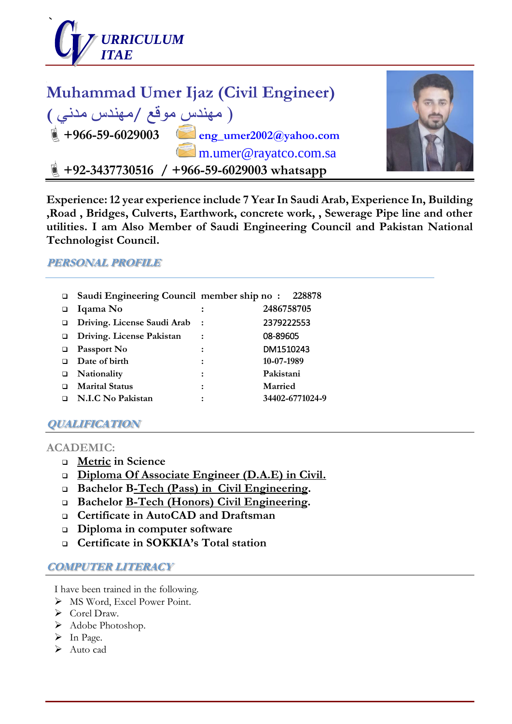



**Experience: 12 year experience include 7 Year In Saudi Arab, Experience In, Building ,Road , Bridges, Culverts, Earthwork, concrete work, , Sewerage Pipe line and other utilities. I am Also Member of Saudi Engineering Council and Pakistan National Technologist Council.**

#### **PERSONAL PROFILE**

 **Saudi Engineering Council member ship no : 228878 Iqama No : 2486758705 Driving. License Saudi Arab :** 2379222553 **Driving. License Pakistan :** 08-89605 **Passport No :** DM1510243 **Date of birth : 10-07-1989 Nationality : Pakistani Marital Status : Married N.I.C No Pakistan : 34402-6771024-9**

# **QUALIFICATION**

#### **ACADEMIC:**

- **Metric in Science**
- **Diploma Of Associate Engineer (D.A.E) in Civil.**
- **Bachelor B-Tech (Pass) in Civil Engineering.**
- **Bachelor B-Tech (Honors) Civil Engineering.**
- **Certificate in AutoCAD and Draftsman**
- **Diploma in computer software**
- **Certificate in SOKKIA's Total station**

#### **COMPUTER LITERACY**

I have been trained in the following.

- $\triangleright$  MS Word, Excel Power Point.
- Corel Draw.
- $\blacktriangleright$  Adobe Photoshop.
- $\triangleright$  In Page.
- $\triangleright$  Auto cad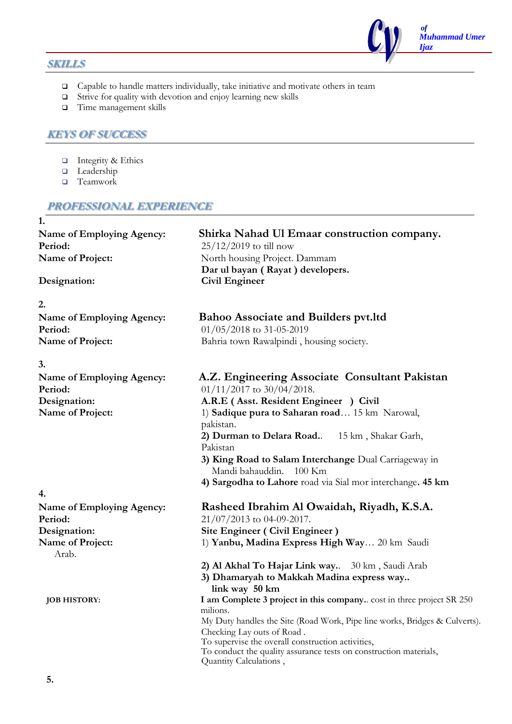#### **SKILLS**

 $\Box$  Capable to handle matters individually, take initiative and motivate others in team

 *of*

*Ijaz*

*Muhammad Umer* 

- $\Box$  Strive for quality with devotion and enjoy learning new skills
- $\Box$  Time management skills

#### **KEYS OF SUCCESS**

- $\Box$  Integrity & Ethics
- **Leadership**
- □ Teamwork

#### **PROFESSIONAL EXPERIENCE**

**1. Name of Employing Agency: Shirka Nahad Ul Emaar construction company. Period:** 25/12/2019 to till now **Name of Project:** North housing Project. Dammam **Dar ul bayan ( Rayat ) developers. Designation: Civil Engineer 2. Name of Employing Agency: Bahoo Associate and Builders pvt.ltd Period:** 01/05/2018 to 31-05-2019 Name of Project: Bahria town Rawalpindi, housing society. **3. Name of Employing Agency: A.Z. Engineering Associate Consultant Pakistan Period:** 01/11/2017 to 30/04/2018. **Designation: A.R.E ( Asst. Resident Engineer ) Civil Name of Project:** 1) **Sadique pura to Saharan road** ... 15 km Narowal, pakistan. **2) Durman to Delara Road.**. 15 km , Shakar Garh, Pakistan  **3) King Road to Salam Interchange** Dual Carriageway in Mandi bahauddin. 100 Km **4) Sargodha to Lahore** road via Sial mor interchange**. 45 km 4. Name of Employing Agency: Rasheed Ibrahim Al Owaidah, Riyadh, K.S.A. Period:** 21/07/2013 to 04-09-2017. **Designation: Site Engineer ( Civil Engineer ) Name of Project:** 1) **Yanbu, Madina Express High Way** ... 20 km Saudi Arab. **2) Al Akhal To Hajar Link way.**. 30 km , Saudi Arab **3) Dhamaryah to Makkah Madina express way.. link way 50 km JOB HISTORY: I am Complete 3 project in this company.**. cost in three project SR 250 milions. My Duty handles the Site (Road Work, Pipe line works, Bridges & Culverts). Checking Lay outs of Road . To supervise the overall construction activities, To conduct the quality assurance tests on construction materials, Quantity Calculations ,